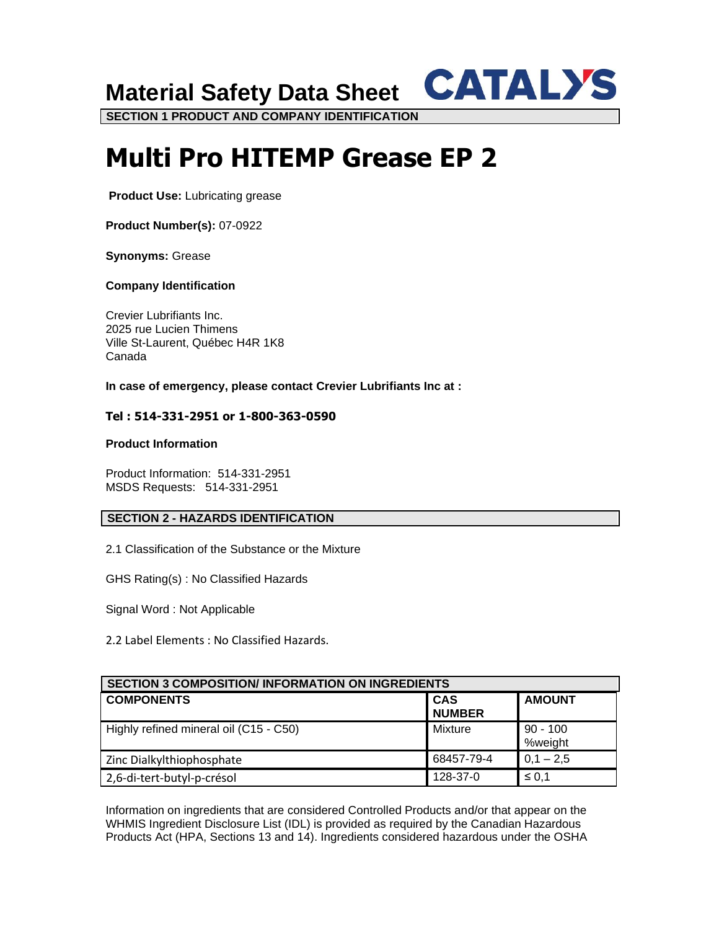## **Material Safety Data Sheet**

**SECTION 1 PRODUCT AND COMPANY IDENTIFICATION**

# **Multi Pro HITEMP Grease EP 2**

**CATALYS** 

**Product Use: Lubricating grease** 

**Product Number(s):** 07-0922

**Synonyms:** Grease

#### **Company Identification**

Crevier Lubrifiants Inc. 2025 rue Lucien Thimens Ville St-Laurent, Québec H4R 1K8 Canada

**In case of emergency, please contact Crevier Lubrifiants Inc at :**

## **Tel : 514-331-2951 or 1-800-363-0590**

#### **Product Information**

Product Information: 514-331-2951 MSDS Requests: 514-331-2951

## **SECTION 2 - HAZARDS IDENTIFICATION**

2.1 Classification of the Substance or the Mixture

GHS Rating(s) : No Classified Hazards

Signal Word : Not Applicable

2.2 Label Elements : No Classified Hazards.

| <b>SECTION 3 COMPOSITION/INFORMATION ON INGREDIENTS</b> |                             |                       |  |  |
|---------------------------------------------------------|-----------------------------|-----------------------|--|--|
| <b>COMPONENTS</b>                                       | <b>CAS</b><br><b>NUMBER</b> | <b>AMOUNT</b>         |  |  |
| Highly refined mineral oil (C15 - C50)                  | Mixture                     | $90 - 100$<br>%weight |  |  |
| Zinc Dialkylthiophosphate                               | 68457-79-4                  | $0,1 - 2,5$           |  |  |
| 2,6-di-tert-butyl-p-crésol                              | 128-37-0                    | $\leq 0,1$            |  |  |

Information on ingredients that are considered Controlled Products and/or that appear on the WHMIS Ingredient Disclosure List (IDL) is provided as required by the Canadian Hazardous Products Act (HPA, Sections 13 and 14). Ingredients considered hazardous under the OSHA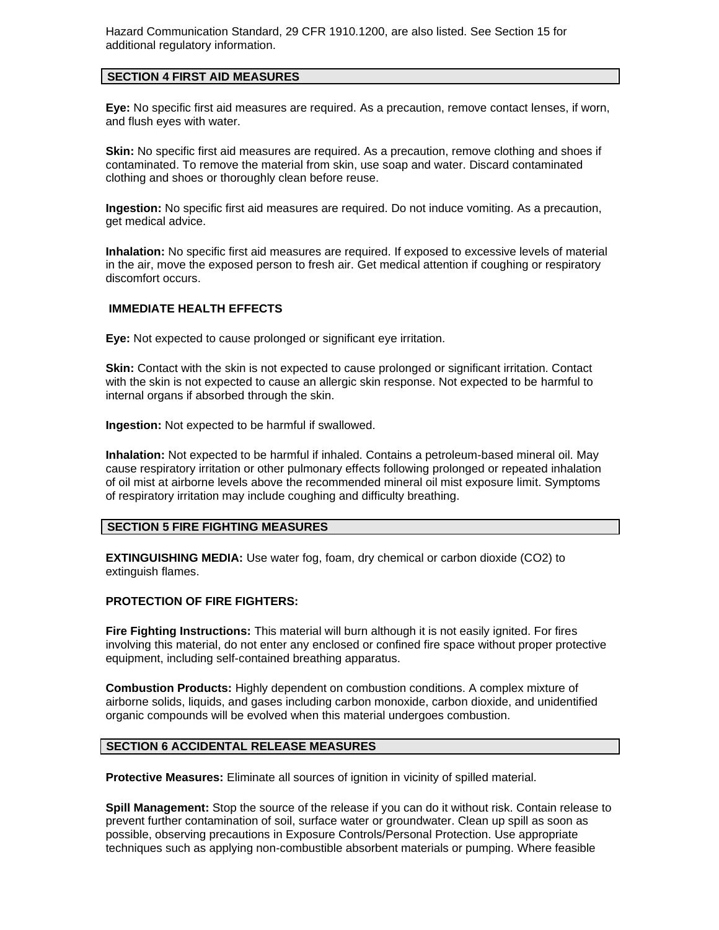Hazard Communication Standard, 29 CFR 1910.1200, are also listed. See Section 15 for additional regulatory information.

## **SECTION 4 FIRST AID MEASURES**

**Eye:** No specific first aid measures are required. As a precaution, remove contact lenses, if worn, and flush eyes with water.

**Skin:** No specific first aid measures are required. As a precaution, remove clothing and shoes if contaminated. To remove the material from skin, use soap and water. Discard contaminated clothing and shoes or thoroughly clean before reuse.

**Ingestion:** No specific first aid measures are required. Do not induce vomiting. As a precaution, get medical advice.

**Inhalation:** No specific first aid measures are required. If exposed to excessive levels of material in the air, move the exposed person to fresh air. Get medical attention if coughing or respiratory discomfort occurs.

## **IMMEDIATE HEALTH EFFECTS**

**Eye:** Not expected to cause prolonged or significant eye irritation.

**Skin:** Contact with the skin is not expected to cause prolonged or significant irritation. Contact with the skin is not expected to cause an allergic skin response. Not expected to be harmful to internal organs if absorbed through the skin.

**Ingestion:** Not expected to be harmful if swallowed.

**Inhalation:** Not expected to be harmful if inhaled. Contains a petroleum-based mineral oil. May cause respiratory irritation or other pulmonary effects following prolonged or repeated inhalation of oil mist at airborne levels above the recommended mineral oil mist exposure limit. Symptoms of respiratory irritation may include coughing and difficulty breathing.

## **SECTION 5 FIRE FIGHTING MEASURES**

**EXTINGUISHING MEDIA:** Use water fog, foam, dry chemical or carbon dioxide (CO2) to extinguish flames.

## **PROTECTION OF FIRE FIGHTERS:**

**Fire Fighting Instructions:** This material will burn although it is not easily ignited. For fires involving this material, do not enter any enclosed or confined fire space without proper protective equipment, including self-contained breathing apparatus.

**Combustion Products:** Highly dependent on combustion conditions. A complex mixture of airborne solids, liquids, and gases including carbon monoxide, carbon dioxide, and unidentified organic compounds will be evolved when this material undergoes combustion.

## **SECTION 6 ACCIDENTAL RELEASE MEASURES**

**Protective Measures:** Eliminate all sources of ignition in vicinity of spilled material.

**Spill Management:** Stop the source of the release if you can do it without risk. Contain release to prevent further contamination of soil, surface water or groundwater. Clean up spill as soon as possible, observing precautions in Exposure Controls/Personal Protection. Use appropriate techniques such as applying non-combustible absorbent materials or pumping. Where feasible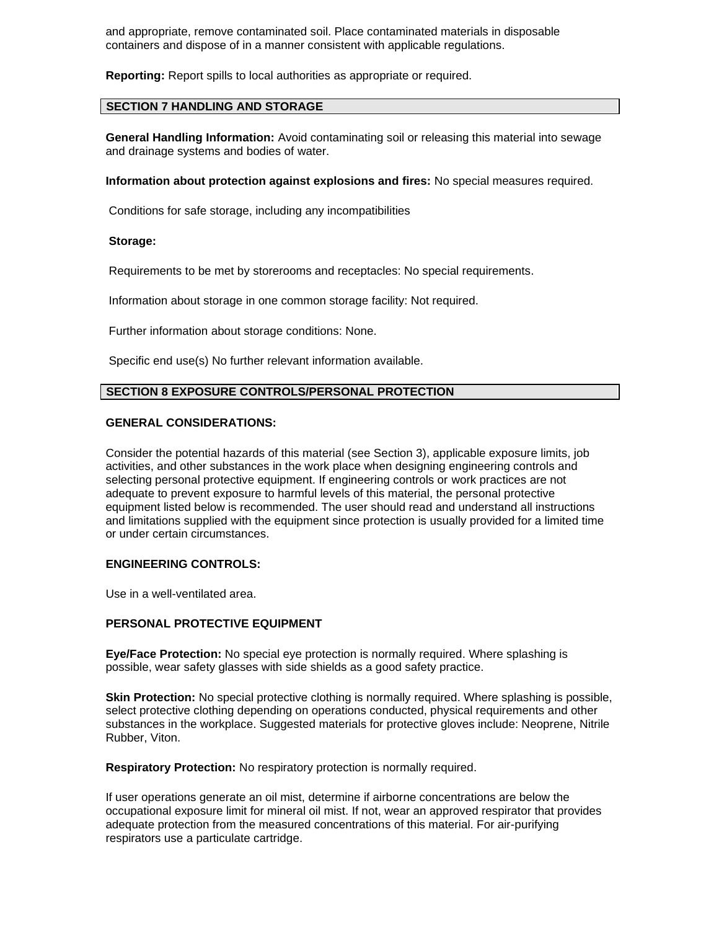and appropriate, remove contaminated soil. Place contaminated materials in disposable containers and dispose of in a manner consistent with applicable regulations.

**Reporting:** Report spills to local authorities as appropriate or required.

### **SECTION 7 HANDLING AND STORAGE**

**General Handling Information:** Avoid contaminating soil or releasing this material into sewage and drainage systems and bodies of water.

**Information about protection against explosions and fires:** No special measures required.

Conditions for safe storage, including any incompatibilities

#### **Storage:**

Requirements to be met by storerooms and receptacles: No special requirements.

Information about storage in one common storage facility: Not required.

Further information about storage conditions: None.

Specific end use(s) No further relevant information available.

#### **SECTION 8 EXPOSURE CONTROLS/PERSONAL PROTECTION**

### **GENERAL CONSIDERATIONS:**

Consider the potential hazards of this material (see Section 3), applicable exposure limits, job activities, and other substances in the work place when designing engineering controls and selecting personal protective equipment. If engineering controls or work practices are not adequate to prevent exposure to harmful levels of this material, the personal protective equipment listed below is recommended. The user should read and understand all instructions and limitations supplied with the equipment since protection is usually provided for a limited time or under certain circumstances.

## **ENGINEERING CONTROLS:**

Use in a well-ventilated area.

#### **PERSONAL PROTECTIVE EQUIPMENT**

**Eye/Face Protection:** No special eye protection is normally required. Where splashing is possible, wear safety glasses with side shields as a good safety practice.

**Skin Protection:** No special protective clothing is normally required. Where splashing is possible, select protective clothing depending on operations conducted, physical requirements and other substances in the workplace. Suggested materials for protective gloves include: Neoprene, Nitrile Rubber, Viton.

**Respiratory Protection:** No respiratory protection is normally required.

If user operations generate an oil mist, determine if airborne concentrations are below the occupational exposure limit for mineral oil mist. If not, wear an approved respirator that provides adequate protection from the measured concentrations of this material. For air-purifying respirators use a particulate cartridge.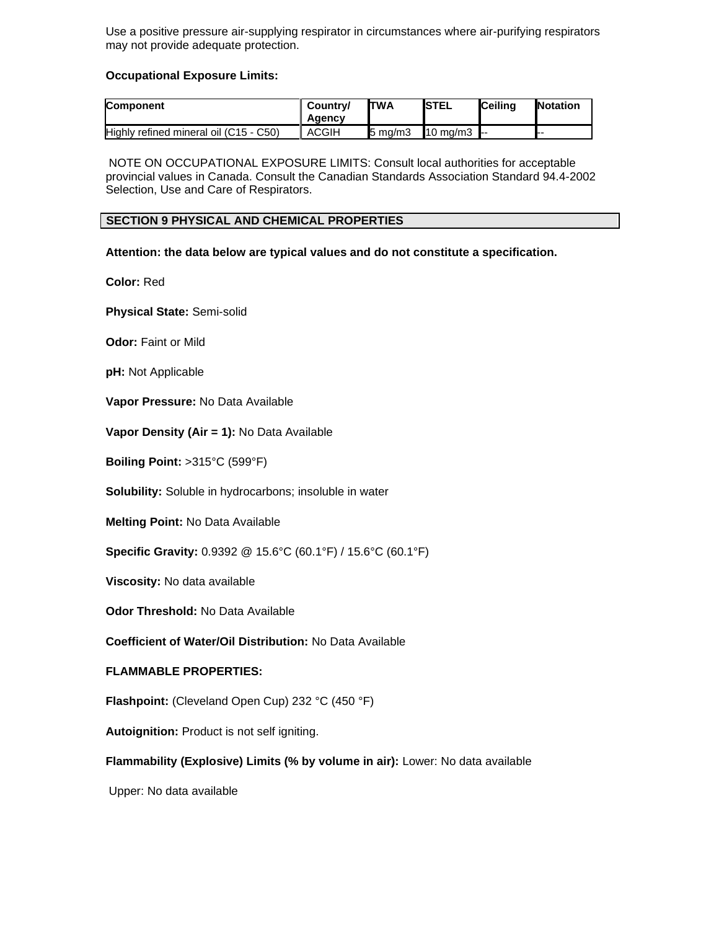Use a positive pressure air-supplying respirator in circumstances where air-purifying respirators may not provide adequate protection.

## **Occupational Exposure Limits:**

| <b>Component</b>                       | Country/<br>Agency | <b>ITWA</b>        | <b>ISTEL</b>        | <b>I</b> Ceilina | <b>Notation</b> |
|----------------------------------------|--------------------|--------------------|---------------------|------------------|-----------------|
| Highly refined mineral oil (C15 - C50) | <b>ACGIH</b>       | $5 \text{ ma/m}$ 3 | $10 \text{ ma/m}$ 3 |                  | ---             |

NOTE ON OCCUPATIONAL EXPOSURE LIMITS: Consult local authorities for acceptable provincial values in Canada. Consult the Canadian Standards Association Standard 94.4-2002 Selection, Use and Care of Respirators.

## **SECTION 9 PHYSICAL AND CHEMICAL PROPERTIES**

**Attention: the data below are typical values and do not constitute a specification.**

**Color:** Red

**Physical State:** Semi-solid

**Odor:** Faint or Mild

**pH:** Not Applicable

**Vapor Pressure:** No Data Available

**Vapor Density (Air = 1):** No Data Available

**Boiling Point:** >315°C (599°F)

**Solubility:** Soluble in hydrocarbons; insoluble in water

**Melting Point:** No Data Available

**Specific Gravity:** 0.9392 @ 15.6°C (60.1°F) / 15.6°C (60.1°F)

**Viscosity:** No data available

**Odor Threshold:** No Data Available

**Coefficient of Water/Oil Distribution:** No Data Available

## **FLAMMABLE PROPERTIES:**

**Flashpoint:** (Cleveland Open Cup) 232 °C (450 °F)

**Autoignition:** Product is not self igniting.

**Flammability (Explosive) Limits (% by volume in air):** Lower: No data available

Upper: No data available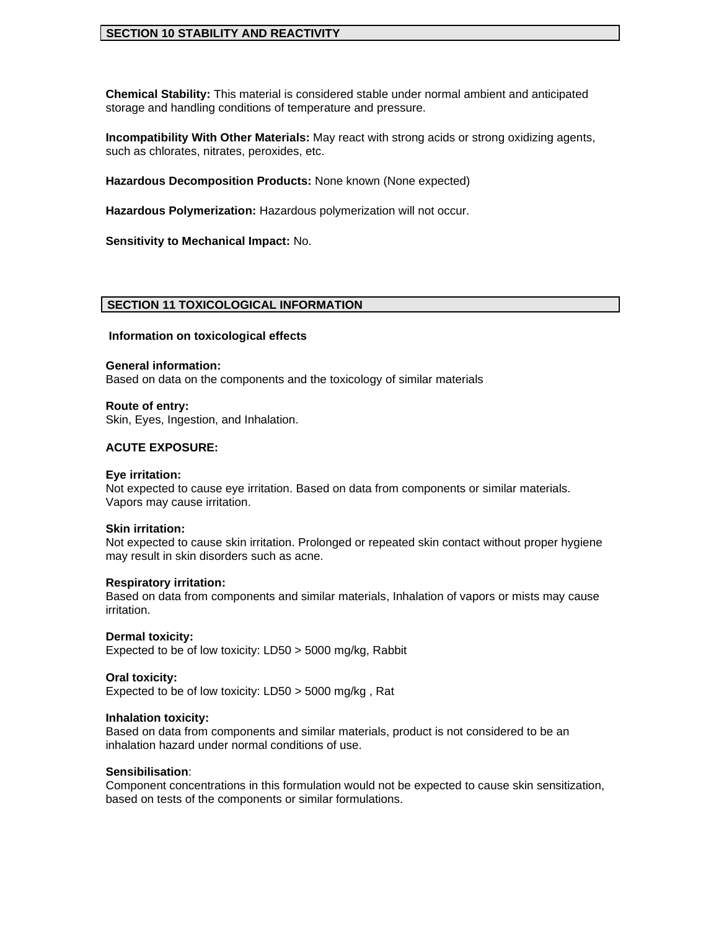## **SECTION 10 STABILITY AND REACTIVITY**

**Chemical Stability:** This material is considered stable under normal ambient and anticipated storage and handling conditions of temperature and pressure.

**Incompatibility With Other Materials:** May react with strong acids or strong oxidizing agents, such as chlorates, nitrates, peroxides, etc.

**Hazardous Decomposition Products:** None known (None expected)

**Hazardous Polymerization:** Hazardous polymerization will not occur.

**Sensitivity to Mechanical Impact:** No.

## **SECTION 11 TOXICOLOGICAL INFORMATION**

#### **Information on toxicological effects**

**General information:**  Based on data on the components and the toxicology of similar materials

**Route of entry:**  Skin, Eyes, Ingestion, and Inhalation.

#### **ACUTE EXPOSURE:**

#### **Eye irritation:**

Not expected to cause eye irritation. Based on data from components or similar materials. Vapors may cause irritation.

#### **Skin irritation:**

Not expected to cause skin irritation. Prolonged or repeated skin contact without proper hygiene may result in skin disorders such as acne.

#### **Respiratory irritation:**

Based on data from components and similar materials, Inhalation of vapors or mists may cause irritation.

#### **Dermal toxicity:**

Expected to be of low toxicity: LD50 > 5000 mg/kg, Rabbit

#### **Oral toxicity:**

Expected to be of low toxicity: LD50 > 5000 mg/kg , Rat

#### **Inhalation toxicity:**

Based on data from components and similar materials, product is not considered to be an inhalation hazard under normal conditions of use.

#### **Sensibilisation**:

Component concentrations in this formulation would not be expected to cause skin sensitization, based on tests of the components or similar formulations.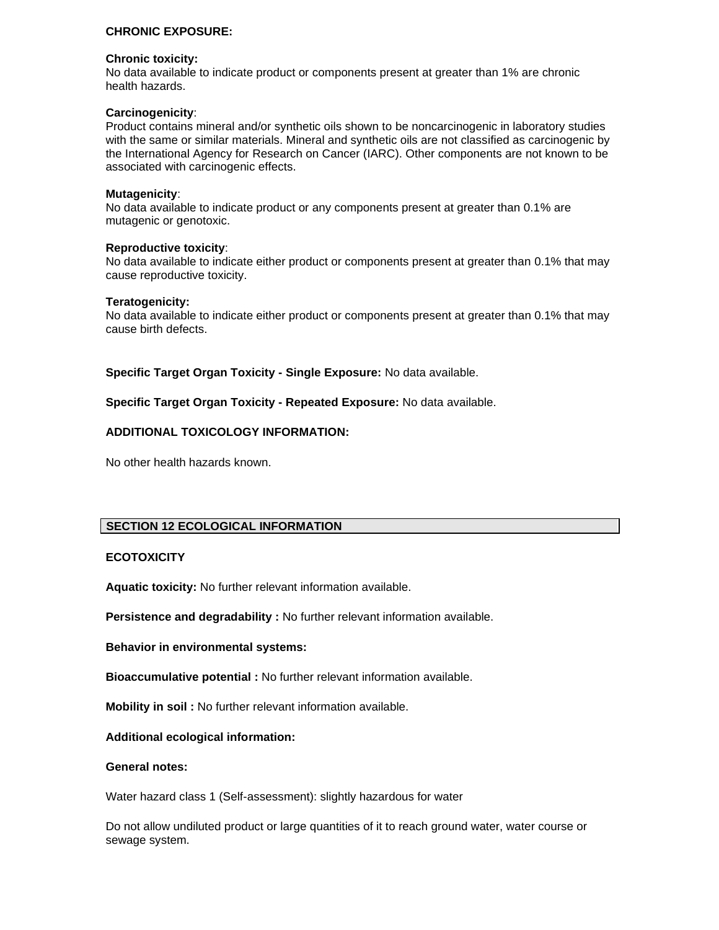## **CHRONIC EXPOSURE:**

#### **Chronic toxicity:**

No data available to indicate product or components present at greater than 1% are chronic health hazards.

## **Carcinogenicity**:

Product contains mineral and/or synthetic oils shown to be noncarcinogenic in laboratory studies with the same or similar materials. Mineral and synthetic oils are not classified as carcinogenic by the International Agency for Research on Cancer (IARC). Other components are not known to be associated with carcinogenic effects.

#### **Mutagenicity**:

No data available to indicate product or any components present at greater than 0.1% are mutagenic or genotoxic.

#### **Reproductive toxicity**:

No data available to indicate either product or components present at greater than 0.1% that may cause reproductive toxicity.

#### **Teratogenicity:**

No data available to indicate either product or components present at greater than 0.1% that may cause birth defects.

**Specific Target Organ Toxicity - Single Exposure:** No data available.

**Specific Target Organ Toxicity - Repeated Exposure:** No data available.

## **ADDITIONAL TOXICOLOGY INFORMATION:**

No other health hazards known.

## **SECTION 12 ECOLOGICAL INFORMATION**

## **ECOTOXICITY**

**Aquatic toxicity:** No further relevant information available.

**Persistence and degradability :** No further relevant information available.

**Behavior in environmental systems:**

**Bioaccumulative potential :** No further relevant information available.

**Mobility in soil :** No further relevant information available.

## **Additional ecological information:**

#### **General notes:**

Water hazard class 1 (Self-assessment): slightly hazardous for water

Do not allow undiluted product or large quantities of it to reach ground water, water course or sewage system.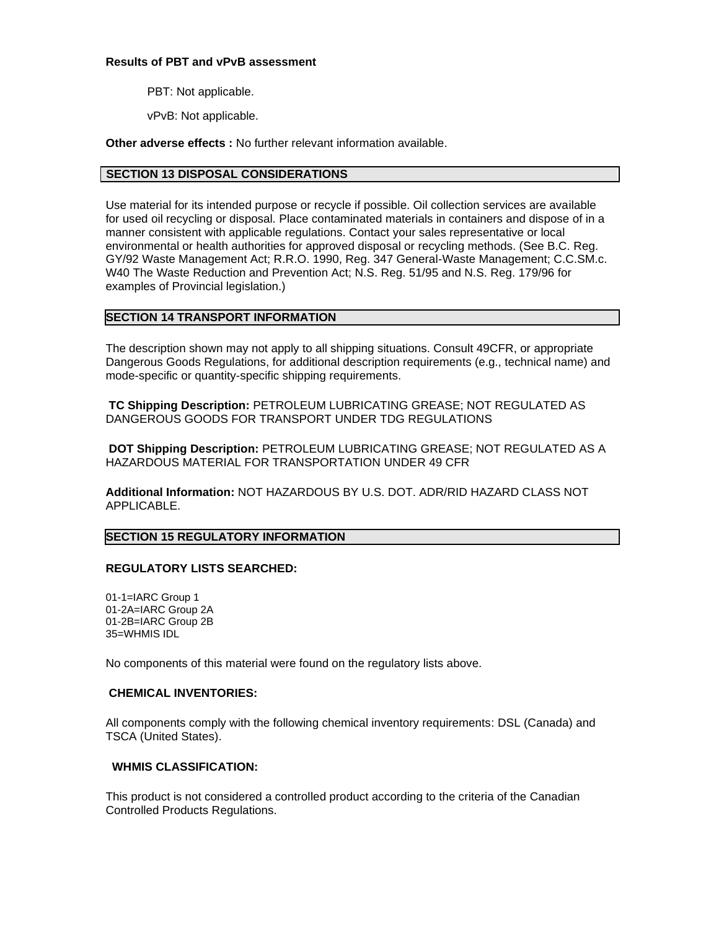### **Results of PBT and vPvB assessment**

PBT: Not applicable.

vPvB: Not applicable.

**Other adverse effects :** No further relevant information available.

## **SECTION 13 DISPOSAL CONSIDERATIONS**

Use material for its intended purpose or recycle if possible. Oil collection services are available for used oil recycling or disposal. Place contaminated materials in containers and dispose of in a manner consistent with applicable regulations. Contact your sales representative or local environmental or health authorities for approved disposal or recycling methods. (See B.C. Reg. GY/92 Waste Management Act; R.R.O. 1990, Reg. 347 General-Waste Management; C.C.SM.c. W40 The Waste Reduction and Prevention Act; N.S. Reg. 51/95 and N.S. Reg. 179/96 for examples of Provincial legislation.)

## **SECTION 14 TRANSPORT INFORMATION**

The description shown may not apply to all shipping situations. Consult 49CFR, or appropriate Dangerous Goods Regulations, for additional description requirements (e.g., technical name) and mode-specific or quantity-specific shipping requirements.

**TC Shipping Description:** PETROLEUM LUBRICATING GREASE; NOT REGULATED AS DANGEROUS GOODS FOR TRANSPORT UNDER TDG REGULATIONS

**DOT Shipping Description:** PETROLEUM LUBRICATING GREASE; NOT REGULATED AS A HAZARDOUS MATERIAL FOR TRANSPORTATION UNDER 49 CFR

**Additional Information:** NOT HAZARDOUS BY U.S. DOT. ADR/RID HAZARD CLASS NOT APPLICABLE.

## **SECTION 15 REGULATORY INFORMATION**

## **REGULATORY LISTS SEARCHED:**

01-1=IARC Group 1 01-2A=IARC Group 2A 01-2B=IARC Group 2B 35=WHMIS IDL

No components of this material were found on the regulatory lists above.

## **CHEMICAL INVENTORIES:**

All components comply with the following chemical inventory requirements: DSL (Canada) and TSCA (United States).

## **WHMIS CLASSIFICATION:**

This product is not considered a controlled product according to the criteria of the Canadian Controlled Products Regulations.